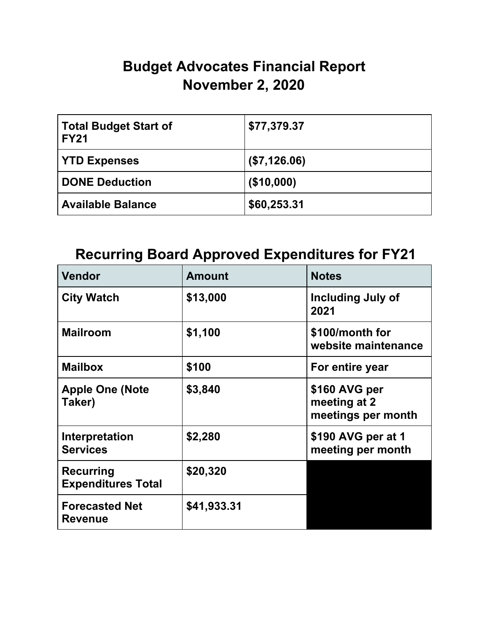## **Budget Advocates Financial Report November 2, 2020**

| <b>Total Budget Start of</b><br><b>FY21</b> | \$77,379.37  |
|---------------------------------------------|--------------|
| <b>YTD Expenses</b>                         | (\$7,126.06) |
| <b>DONE Deduction</b>                       | (\$10,000)   |
| <b>Available Balance</b>                    | \$60,253.31  |

## **Recurring Board Approved Expenditures for FY21**

| <b>Vendor</b>                                 | <b>Amount</b> | <b>Notes</b>                                        |
|-----------------------------------------------|---------------|-----------------------------------------------------|
| <b>City Watch</b>                             | \$13,000      | Including July of<br>2021                           |
| <b>Mailroom</b>                               | \$1,100       | \$100/month for<br>website maintenance              |
| <b>Mailbox</b>                                | \$100         | For entire year                                     |
| <b>Apple One (Note</b><br>Taker)              | \$3,840       | \$160 AVG per<br>meeting at 2<br>meetings per month |
| Interpretation<br><b>Services</b>             | \$2,280       | \$190 AVG per at 1<br>meeting per month             |
| <b>Recurring</b><br><b>Expenditures Total</b> | \$20,320      |                                                     |
| <b>Forecasted Net</b><br><b>Revenue</b>       | \$41,933.31   |                                                     |